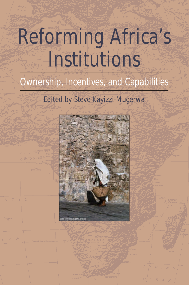# Reforming Africa's Institutions

# Ownership, Incentives, and Capabilities

## Edited by Steve Kayizzi-Mugerwa

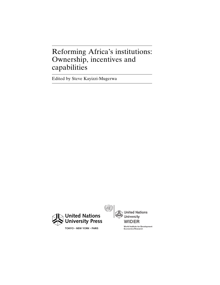# Reforming Africa's institutions: Ownership, incentives and capabilities

Edited by Steve Kayizzi-Mugerwa

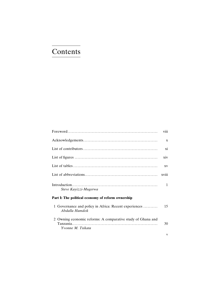# Contents

|                                                                                  | viii         |
|----------------------------------------------------------------------------------|--------------|
|                                                                                  | $\mathbf{x}$ |
|                                                                                  | xi           |
|                                                                                  | <b>xiv</b>   |
|                                                                                  | <b>XV</b>    |
|                                                                                  | xviii        |
| Steve Kayizzi-Mugerwa                                                            | $\mathbf{1}$ |
| Part I: The political economy of reform ownership                                |              |
| 1 Governance and policy in Africa: Recent experiences<br>Abdalla Hamdok          | 15           |
| 2 Owning economic reforms: A comparative study of Ghana and<br>Yvonne M. Tsikata | 30           |
|                                                                                  | V            |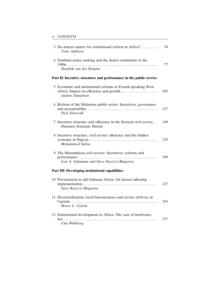| V1 |                 |
|----|-----------------|
|    | <b>CONTENTS</b> |
|    |                 |

|                                                 | 3 Do donors matter for institutional reform in Africa?<br>Tony Addison                                | 54  |  |  |  |  |
|-------------------------------------------------|-------------------------------------------------------------------------------------------------------|-----|--|--|--|--|
|                                                 | 4 Zambian policy making and the donor community in the<br>Hendrik van der Heijden                     | 77  |  |  |  |  |
|                                                 | Part II: Incentive structures and performance in the public service                                   |     |  |  |  |  |
|                                                 | 5 Economic and institutional reforms in French-speaking West<br><b>Anders Danielson</b>               | 105 |  |  |  |  |
|                                                 | 6 Reform of the Malawian public sector: Incentives, governance<br>Dick Durevall                       | 127 |  |  |  |  |
|                                                 | 7 Incentive structure and efficiency in the Kenyan civil service<br>Damiano Kulundu Manda             | 149 |  |  |  |  |
|                                                 | 8 Incentive structure, civil service efficiency and the hidden<br><b>Mohammed Salisu</b>              | 170 |  |  |  |  |
|                                                 | 9 The Mozambican civil service: Incentives, reforms and<br>José A. Sulemane and Steve Kayizzi-Mugerwa | 199 |  |  |  |  |
| Part III: Developing institutional capabilities |                                                                                                       |     |  |  |  |  |
|                                                 | 10 Privatization in sub-Saharan Africa: On factors affecting<br>Steve Kayizzi-Mugerwa                 | 227 |  |  |  |  |
|                                                 | 11 Decentralization, local bureaucracies and service delivery in<br>Moses L. Golola                   | 254 |  |  |  |  |
|                                                 | 12 Institutional development in Africa: The case of insolvency<br>Clas Wihlborg                       | 277 |  |  |  |  |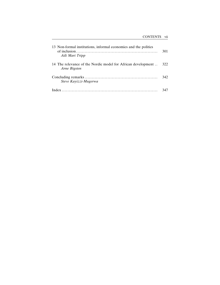| 13 Non-formal institutions, informal economies and the politics<br>Aili Mari Tripp | 301 |
|------------------------------------------------------------------------------------|-----|
| 14 The relevance of the Nordic model for African development<br>Arne Bigsten       | 322 |
| Steve Kayizzi-Mugerwa                                                              | 342 |
|                                                                                    | 347 |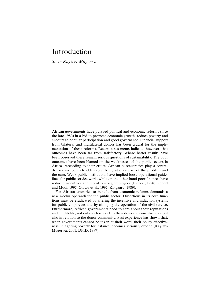## Introduction

Steve Kayizzi-Mugerwa

African governments have pursued political and economic reforms since the late 1980s in a bid to promote economic growth, reduce poverty and encourage popular participation and good governance. Financial support from bilateral and multilateral donors has been crucial for the implementation of these reforms. Recent assessments indicate, however, that outcomes have been far from satisfactory. Where better results have been observed there remain serious questions of sustainability. The poor outcomes have been blamed on the weaknesses of the public sectors in Africa. According to their critics, African bureaucracies play a contradictory and conflict-ridden role, being at once part of the problem and the cure. Weak public institutions have implied loose operational guidelines for public service work, while on the other hand poor finances have reduced incentives and morale among employees (Lienert, 1998; Lienert and Modi, 1997; Olowu et al., 1997; Klitgaard, 1989).

For African countries to benefit from economic reforms demands a new modus operandi for the public sector. Distortions in its core functions must be eradicated by altering the incentive and induction systems for public employees and by changing the operation of the civil service. Furthermore, African governments need to care about their reputations and credibility, not only with respect to their domestic constituencies but also in relation to the donor community. Past experience has shown that, when governments cannot be taken at their word, their policy effectiveness, in fighting poverty for instance, becomes seriously eroded (Kayizzi-Mugerwa, 2001; DFID, 1997).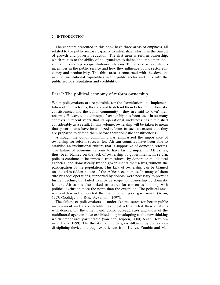The chapters presented in this book have three areas of emphasis, all related to the public sector's capacity to internalize reforms in the pursuit of growth and poverty reduction. The first area is reform ownership, which relates to the ability of policymakers to define and implement policies and to manage recipient–donor relations. The second area relates to incentives in the public service and how they influence public sector efficiency and productivity. The third area is concerned with the development of institutional capabilities in the public sector and thus with the public sector's reputation and credibility.

#### Part I: The political economy of reform ownership

When policymakers are responsible for the formulation and implementation of their reforms, they are apt to defend them before their domestic constituencies and the donor community – they are said to 'own' their reforms. However, the concept of ownership has been used in so many contexts in recent years that its operational usefulness has diminished considerably as a result. In this volume, ownership will be taken to mean that governments have internalized reforms to such an extent that they are prepared to defend them before their domestic constituencies.

Although the donor community has emphasized the importance of ownership for reform success, few African countries have been able to establish an institutional culture that is supportive of domestic reforms. The failure of economic reforms to have lasting impact in Africa has, thus, been blamed on the lack of ownership by governments. In return, policies continue to be imposed from 'above' by donors or multilateral agencies, and domestically by the governments themselves, without the participation of the population. This lack of ownership can be blamed on the crisis-ridden nature of the African economies. In many of them 'fire brigade' operations, supported by donors, were necessary to prevent further decline, but failed to provide scope for ownership by domestic leaders. Africa has also lacked structures for consensus building, with political exclusion more the norm than the exception. The political environment has not supported the evolution of good governance (Aron, 1997; Coolidge and Rose-Ackerman, 1997).

The failure of policymakers to undertake measures for better public management and accountability has negatively affected their relations with donors. On the other hand, donor bureaucracies and those of the multilateral agencies have exhibited a lag in adapting to the new thinking which emphasizes partnership (van der Heijden, 2000; Asian Development Bank, 1999). The threat of aid embargo is still used by donors as a disciplining device, although experiences from Kenya, Zambia and Ma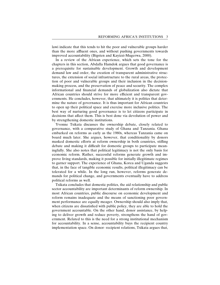lawi indicate that this tends to hit the poor and vulnerable groups harder than the more affluent ones, and without pushing governments towards improved accountability (Bigsten and Kayizzi-Mugerwa, 2000).

In a review of the African experience, which sets the tone for the chapters in this section, Abdalla Hamdok argues that good governance is a prerequisite for sustainable development. Growth and development demand law and order, the creation of transparent administrative structures, the extension of social infrastructure to the rural areas, the protection of poor and vulnerable groups and their inclusion in the decisionmaking process, and the preservation of peace and security. The complex informational and financial demands of globalization also dictate that African countries should strive for more efficient and transparent governments. He concludes, however, that ultimately it is politics that determine the nature of governance. It is thus important for African countries to open up their political space and exercise more inclusive politics. The best way of nurturing good governance is to let citizens participate in decisions that affect them. This is best done via devolution of power and by strengthening domestic institutions.

Yvonne Tsikata discusses the ownership debate, closely related to governance, with a comparative study of Ghana and Tanzania. Ghana embarked on reforms as early as the 1980s, whereas Tanzania came on board much later. She argues, however, that conditionality by donors masked domestic efforts at reform ownership in both countries, stifling debate and making it difficult for domestic groups to participate meaningfully. She also notes that political legitimacy is not the only basis for economic reform. Rather, successful reforms generate growth and improve living standards, making it possible for initially illegitimate regimes to garner support. The experience of Ghana, Korea and Uganda suggests that, in the face of tangible economic results, political illegitimacy can be tolerated for a while. In the long run, however, reforms generate demands for political change, and governments eventually have to address political reforms as well.

Tsikata concludes that domestic politics, the aid relationship and public sector accountability are important determinants of reform ownership. In most African countries, public discourse on economic development and reform remains inadequate and the means of sanctioning poor government performance are equally meager. Ownership should also imply that, when citizens are dissatisfied with public policy, they are able to hold the government accountable. On the other hand, donor assistance, by helping to deliver growth and reduce poverty, strengthens the hand of government. Related to this is the need for a strong institutional mechanism for accountability. In a sense, accountability buys the recipient country implementation space. On donor–recipient relations, Tsikata argues that,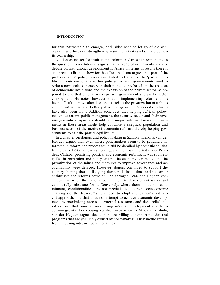for true partnership to emerge, both sides need to let go of old conceptions and focus on strengthening institutions that can facilitate domestic ownership.

Do donors matter for institutional reform in Africa? In responding to the question, Tony Addison argues that, in spite of over twenty years of debate on institutional development in Africa, in terms of results there is still precious little to show for the effort. Addison argues that part of the problem is that policymakers have failed to transcend the 'partial equilibrium' outcome of the earlier policies. African governments need to write a new social contract with their populations, based on the creation of democratic institutions and the expansion of the private sector, as opposed to one that emphasizes expansive government and public sector employment. He notes, however, that in implementing reforms it has been difficult to move ahead on issues such as the privatization of utilities and infrastructure and better public management. Democratic reforms have also been slow. Addison concludes that helping African policymakers to reform public management, the security sector and their revenue generation capacities should be a major task for donors. Improvements in these areas might help convince a skeptical population and business sector of the merits of economic reforms, thereby helping governments to exit the partial equilibrium.

In a chapter on donors and policy making in Zambia, Hendrik van der Heijden argues that, even where policymakers seem to be genuinely interested in reform, the process could still be derailed by domestic politics. In the early 1990s, a new Zambian government was elected under President Chiluba, promising political and economic reforms. It was soon engulfed in corruption and policy failure: the economy contracted and the privatization of the mines and measures to improve governance and accountability were delayed. However, donors continued to support the country, hoping that its fledgling democratic institutions and its earlier enthusiasm for reforms could still be salvaged. Van der Heijden concludes that, when the national commitment to development wanes, aid cannot fully substitute for it. Conversely, where there is national commitment, conditionalities are not needed. To address socioeconomic challenges of the decade, Zambia needs to adopt a fundamentally different approach, one that does not attempt to achieve economic development by maximizing access to external assistance and debt relief, but rather one that aims at maximizing internal development efforts to achieve growth. Transposing Zambian experience to Africa as a whole, van der Heijden argues that donors are willing to support policies and programs that are genuinely owned by policymakers. They should refrain from imposing intrusive conditionalities.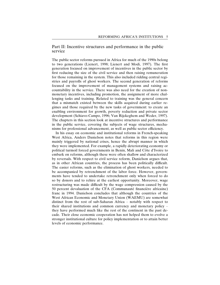## Part II: Incentive structures and performance in the public service

The public sector reforms pursued in Africa for much of the 1990s belong to two generations (Lienert, 1998; Lienert and Modi, 1997). The first generation focused on improvement of incentives in the public sector by first reducing the size of the civil service and then raising remuneration for those remaining in the system. This also included ridding central registries and payrolls of ghost workers. The second generation of reforms focused on the improvement of management systems and raising accountability in the service. There was also need for the creation of nonmonetary incentives, including promotion, the assignment of more challenging tasks and training. Related to training was the general concern that a mismatch existed between the skills acquired during earlier regimes and those required by the new tasks of government: to create an enabling environment for growth, poverty reduction and private sector development (Schiavo-Campo, 1996; Van Rijckeghem and Weder, 1997). The chapters in this section look at incentive structures and performance in the public service, covering the subjects of wage structures, mechanisms for professional advancement, as well as public sector efficiency.

In his essay on economic and institutional reforms in French-speaking West Africa, Anders Danielson notes that reforms in this region were mainly triggered by national crises, hence the abrupt manner in which they were implemented. For example, a rapidly deteriorating economy or political turmoil forced governments in Benin, Mali and Côte d'Ivoire to embark on reforms, although these were often shallow and characterized by reversals. With respect to civil service reform, Danielson argues that, as in other African countries, the process has been politically difficult. The easier reforms, such as the elimination of ghost workers, needed to be accompanied by retrenchment of the labor force. However, governments have tended to undertake retrenchment only when forced to do so by donors and to rehire at the earliest opportunity. Moreover, wage restructuring was made difficult by the wage compression caused by the 50 percent devaluation of the CFA (Communauté financière africaine) franc in 1994. Danielson concludes that although the countries of the West African Economic and Monetary Union (WAEMU) are somewhat distinct from the rest of sub-Saharan Africa – notably with respect to their shared institutions and common currency and monetary policy – they have performed much like the rest of the continent in the past decade. Their close economic cooperation has not helped them to evolve a stronger institutional culture for policy implementation or to attain better levels of economic performance.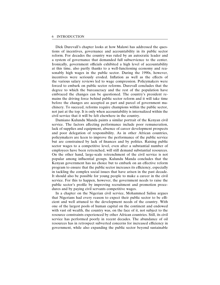Dick Durevall's chapter looks at how Malawi has addressed the questions of incentives, governance and accountability in its public sector reform. For decades the country was ruled by an autocratic leader and a system of governance that demanded full subservience to the center. Ironically, government officials exhibited a high level of accountability at this time, also partly thanks to a well-functioning economy and reasonably high wages in the public sector. During the 1990s, however, incentives were seriously eroded. Inflation as well as the effects of the various salary reviews led to wage compression. Policymakers were forced to embark on public sector reforms. Durevall concludes that the degree to which the bureaucracy and the rest of the population have embraced the changes can be questioned. The country's president remains the driving force behind public sector reform and it will take time before the changes are accepted as part and parcel of government machinery. To succeed, reforms require champions within the public sector, not just at the top. It is only when accountability is internalized within the civil service that it will be felt elsewhere in the country.

Damiano Kulundu Manda paints a similar portrait of the Kenyan civil service. The factors affecting performance include poor remuneration, lack of supplies and equipment, absence of career development prospects and poor delegation of responsibility. As in other African countries, policymakers are keen to improve the performance of the public service but are constrained by lack of finances and by politics. Raising public sector wages to a competitive level, even after a substantial number of employees have been retrenched, will still demand substantial resources. On the other hand, large-scale retrenchment of the civil service is not popular among influential groups. Kulundu Manda concludes that the Kenyan government has no choice but to embark on an effective reform program to ensure that the public sector increases its efficiency, especially in tackling the complex social issues that have arisen in the past decade. It should also be possible for young people to make a career in the civil service. For this to happen, however, the government needs to raise the public sector's profile by improving recruitment and promotion procedures and by paying civil servants competitive wages.

In a chapter on the Nigerian civil service, Mohammed Salisu argues that Nigerians had every reason to expect their public sector to be efficient and well attuned to the development needs of the country. With one of the largest pools of human capital on the continent and endowed with vast oil wealth, the country was, on the face of it, not subject to the resource constraints experienced by other African countries. Still, its civil service has performed poorly in recent decades. The abundance of oil resources has in retrospect subverted concerns for increased efficiency in government, while also expanding the public sector beyond sustainable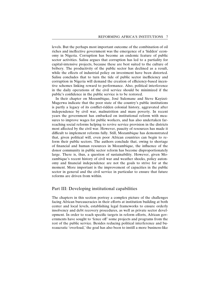levels. But the perhaps most important outcome of the combination of oil riches and ineffective government was the emergence of a 'hidden' economy in Nigeria. Corruption has become an endemic feature of public sector activities. Salisu argues that corruption has led to a partiality for capital-intensive projects, because these are best suited to the culture of bribery. The productivity of the public sector has declined as a result, while the effects of industrial policy on investment have been distorted. Salisu concludes that to turn the tide of public sector inefficiency and corruption in Nigeria will demand the creation of efficiency-based incentive schemes linking reward to performance. Also, political interference in the daily operations of the civil service should be minimized if the public's confidence in the public service is to be restored.

In their chapter on Mozambique, Jose´ Sulemane and Steve Kayizzi-Mugerwa indicate that the poor state of the country's public institutions is partly a legacy of its conflict-ridden colonial history, aggravated after independence by civil war, malnutrition and mass poverty. In recent years the government has embarked on institutional reform with measures to improve wages for public workers, and has also undertaken farreaching social reforms helping to revive service provision in the districts most affected by the civil war. However, paucity of resources has made it difficult to implement reforms fully. Still, Mozambique has demonstrated that, given political will, even poor African countries can begin to reform their public sectors. The authors conclude that, owing to shortage of financial and human resources in Mozambique, the influence of the donor community in public sector reform has become disproportionately large. There is, thus, a question of sustainability. However, given Mozambique's recent history of civil war and weather shocks, policy autonomy and financial independence are not the goals to strive for at the moment. More important is the improvement of capacities in the public sector in general and the civil service in particular to ensure that future reforms are driven from within.

## Part III: Developing institutional capabilities

The chapters in this section portray a complex picture of the challenges facing African bureaucracies in their efforts at institution building at both center and local levels, establishing legal frameworks to ensure orderly insolvency and debt recovery procedures, as well as private sector development. In order to reach specific targets in reform efforts, African governments have sought to 'fence off' some projects and programs from the rest of the public service. Besides reducing political interference and bureaucratic 'overload,' the goal has also been to instill a more business-like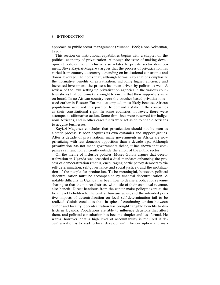approach to public sector management (Munene, 1995; Rose-Ackerman, 1986).

This section on institutional capabilities begins with a chapter on the political economy of privatization. Although the issue of making development policies more inclusive also relates to private sector development, Steve Kayizzi-Mugerwa argues that the process of privatization has varied from country to country depending on institutional constraints and donor leverage. He notes that, although formal explanations emphasize the normative benefits of privatization, including higher efficiency and increased investment, the process has been driven by politics as well. A review of the laws setting up privatization agencies in the various countries shows that policymakers sought to ensure that their supporters were on board. In no African country were the voucher-based privatizations – used earlier in Eastern Europe – attempted, most likely because African populations were not in a position to demand a stake in the companies as their constitutional right. In some countries, however, there were attempts at affirmative action. Some firm sizes were reserved for indigenous Africans, and in other cases funds were set aside to enable Africans to acquire businesses.

Kayizzi-Mugerwa concludes that privatization should not be seen as a static process. It soon acquires its own dynamics and support groups. After a decade of privatization, many governments in Africa are now privatizing with less domestic opposition than a decade ago. Although privatization has not made governments richer, it has shown that companies can function efficiently outside the ambit of the public sector.

On the theme of inclusive policies, Moses Golola argues that decentralization in Uganda was accorded a dual mandate: enhancing the process of democratization (that is, encouraging participatory democracy via self-determination, self-governance and social justice), and the mobilization of the people for production. To be meaningful, however, political decentralization must be accompanied by financial decentralization. A notable difficulty in Uganda has been how to devise a policy for revenue sharing so that the poorer districts, with little of their own local revenue, also benefit. Direct handouts from the center make policymakers at the local level beholden to the central bureaucracies, and the intended positive impacts of decentralization on local self-determination fail to be realized. Golola concludes that, in spite of continuing tension between center and locality, decentralization has brought tangible benefits to districts in Uganda. Populations are able to influence decisions that affect them, and political consultation has become simpler and less formal. He warns, however, that a high level of accountability is required if decentralization is to lead to local development. The corruption and mal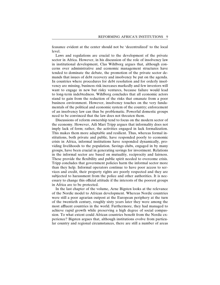feasance evident at the center should not be 'decentralized' to the local level.

Laws and regulations are crucial to the development of the private sector in Africa. However, in his discussion of the role of insolvency law in institutional development, Clas Wihlborg argues that, although concerns over administrative and economic management structures have tended to dominate the debate, the promotion of the private sector demands that issues of debt recovery and insolvency be put on the agenda. In countries where procedures for debt resolution and for orderly insolvency are missing, business risk increases markedly and few investors will want to engage in new but risky ventures, because failure would lead to long-term indebtedness. Wihlborg concludes that all economic actors stand to gain from the reduction of the risks that emanate from a poor business environment. However, insolvency touches on the very fundamentals of the political and economic system of the country; enforcement of an insolvency law can thus be problematic. Powerful domestic groups need to be convinced that the law does not threaten them.

Discussions of reform ownership tend to focus on the modern sector of the economy. However, Aili Mari Tripp argues that informality does not imply lack of form; rather, the activities engaged in lack formalization. This makes them more adaptable and resilient. Thus, whereas formal institutions, both private and public, have responded poorly to economic crisis in Africa, informal institutions have responded dynamically, providing livelihoods to the population. Savings clubs, engaged in by many groups, have been crucial in generating savings for investment. Relations in the informal sector are based on mutuality, reciprocity and fairness. These provide the flexibility and public spirit needed to overcome crisis. Tripp concludes that government policies harm the informal sector more than they help. Informal operators continue to have poor access to services and credit, their property rights are poorly respected and they are subjected to harassment from the police and other authorities. It is necessary to change this official attitude if the interests of the poorest groups in Africa are to be protected.

In the last chapter of the volume, Arne Bigsten looks at the relevance of the Nordic model to African development. Whereas Nordic countries were still a poor agrarian outpost at the European periphery at the turn of the twentieth century, roughly sixty years later they were among the most affluent countries in the world. Furthermore, they had managed to achieve rapid growth while preserving a high degree of social compassion. To what extent could African countries benefit from the Nordic experience? Bigsten argues that, although institutions evolve from particular country and regional circumstances, there are still a number of areas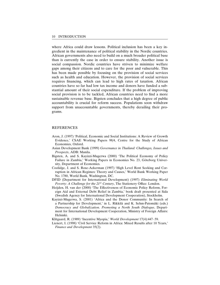where Africa could draw lessons. Political inclusion has been a key ingredient in the maintenance of political stability in the Nordic countries. African governments also need to build on a much broader political base than is currently the case in order to ensure stability. Another issue is social compassion. Nordic countries have striven to minimize welfare gaps among their citizens and to care for the poor and vulnerable. This has been made possible by focusing on the provision of social services such as health and education. However, the provision of social services requires financing, which can lead to high rates of taxation. African countries have so far had low tax income and donors have funded a substantial amount of their social expenditure. If the problem of improving social provision is to be tackled, African countries need to find a more sustainable revenue base. Bigsten concludes that a high degree of public accountability is crucial for reform success. Populations soon withdraw support from unaccountable governments, thereby derailing their programs.

#### **REFERENCES**

- Aron, J. (1997) 'Political, Economic and Social Institutions: A Review of Growth Evidence,' CSAE Working Papers 98/4, Centre for the Study of African Economies, Oxford.
- Asian Development Bank (1999) Governance in Thailand: Challenges, Issues and Prospects, ADB: Manila.
- Bigsten, A. and S. Kayizzi-Mugerwa (2000) 'The Political Economy of Policy Failure in Zambia,' Working Papers in Economics No. 23, Göteborg University, Department of Economics.
- Coolidge, J. and S. Rose-Ackerman (1997) 'High Level Rent Seeking and Corruption in African Regimes: Theory and Causes,' World Bank Working Paper No. 1780, World Bank, Washington, DC.
- DFID (Department for International Development) (1997) Eliminating World Poverty: A Challenge for the 21st Century, The Stationery Office: London.
- Heijden, H. van der (2000) 'The Effectiveness of Economic Policy Reform, Foreign Aid and External Debt Relief in Zambia,' book draft presented at Sida (Swedish Agency for International Development Cooperation), Stockholm.
- Kayizzi-Mugerwa, S. (2001) 'Africa and the Donor Community: In Search of a Partnership for Development,' in L. Rikkilä and K. Sehm-Patomäki (eds.) Democracy and Globalization. Promoting a North South Dialogue, Department for International Development Cooperation, Ministry of Foreign Affairs: Helsinki.
- Klitgaard, R. (1989) 'Incentive Myopia,' World Development 17(4):447–59.
- Lienert, I. (1998) 'Civil Service Reform in Africa: Mixed Results after 10 Years,' Finance and Development 35(2).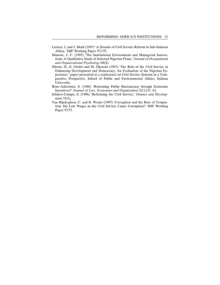- Lienert, I. and J. Modi (1997) 'A Decade of Civil Service Reform in Sub-Saharan Africa,' IMF Working Paper 97/179.
- Munene, J. C. (1995) 'The Institutional Environment and Managerial Innovations: A Qualitative Study of Selected Nigerian Firms,' Journal of Occupational and Organizational Psychology 68(4).
- Olowu, D., E. Otobo and M. Okotoni (1997) 'The Role of the Civil Service in Enhancing Development and Democracy: An Evaluation of the Nigerian Experience,' paper presented at a conference on Civil Service Systems in a Comparative Perspective, School of Public and Environmental Affairs, Indiana University.
- Rose-Ackerman, S. (1986) 'Reforming Public Bureaucracy through Economic Incentives?' Journal of Law, Economics and Organization 2(1):131–61.
- Schiavo-Campo, S. (1996) 'Reforming the Civil Service,' Finance and Development 33(3).
- Van Rijckeghem, C. and B. Weder (1997) 'Corruption and the Rate of Temptation: Do Low Wages in the Civil Service Cause Corruption?' IMF Working Paper 97/73.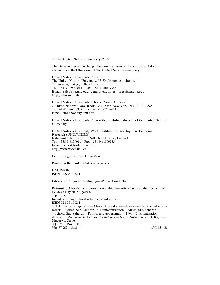*(* The United Nations University, 2003

The views expressed in this publication are those of the authors and do not necessarily reflect the views of the United Nations University.

United Nations University Press The United Nations University, 53-70, Jingumae 5-chome, Shibuya-ku, Tokyo, 150-8925, Japan Tel: +81-3-3499-2811 Fax: +81-3-3406-7345 E-mail: sales@hq.unu.edu (general enquiries): press@hq.unu.edu http://www.unu.edu

United Nations University Office in North America 2 United Nations Plaza, Room DC2-2062, New York, NY 10017, USA Tel: +1-212-963-6387 Fax: +1-212-371-9454 E-mail: unuona@ony.unu.edu

United Nations University Press is the publishing division of the United Nations University.

United Nations University World Institute for Development Economics Research (UNU/WIDER) Katajanokanlaituri 6 B, FIN-00160, Helsinki, Finland Tel:  $+358-9-6159911$  Fax  $+358-9-61599333$ E-mail: wider@wider.unu.edu http://www.wider.unu.edu

Cover design by Joyce C. Weston

Printed in the United States of America

UNUP-1082 ISBN 92-808-1082-1

Library of Congress Cataloging-in-Publication Data

Reforming Africa's institutions : ownership, incentives, and capabilities / edited by Steve Kayizzi-Mugerwa. p. cm. Includes bibliographical references and index. ISBN 92-808-1082-1 1. Administrative agencies—Africa, Sub-Saharan—Management. 2. Civil service reform—Africa, Sub-Saharan. 3. Democratization—Africa, Sub-Saharan. 4. Africa, Sub-Saharan—Politics and government—1960– 5. Privatization— Africa, Sub-Saharan. 6. Economic assistance—Africa, Sub-Saharan. I. Kayizzi-Mugerwa, Steve. JQ1876 .R44 2003  $320'.6'$ 2003151438